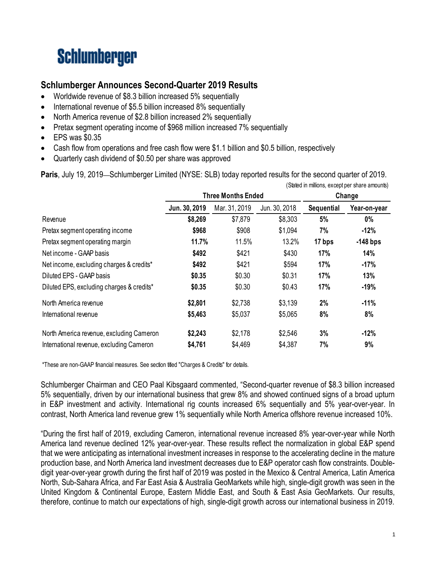# **Schlumberger**

# **Schlumberger Announces Second-Quarter 2019 Results**

- Worldwide revenue of \$8.3 billion increased 5% sequentially
- International revenue of \$5.5 billion increased 8% sequentially
- North America revenue of \$2.8 billion increased 2% sequentially
- Pretax segment operating income of \$968 million increased 7% sequentially
- EPS was \$0.35
- Cash flow from operations and free cash flow were \$1.1 billion and \$0.5 billion, respectively
- Quarterly cash dividend of \$0.50 per share was approved

**Paris**, July 19, 2019—Schlumberger Limited (NYSE: SLB) today reported results for the second quarter of 2019.

|                                           | (Stated in millions, except per share amounts) |                           |               |                   |              |  |
|-------------------------------------------|------------------------------------------------|---------------------------|---------------|-------------------|--------------|--|
|                                           |                                                | <b>Three Months Ended</b> |               | Change            |              |  |
|                                           | Jun. 30, 2019                                  | Mar. 31, 2019             | Jun. 30, 2018 | <b>Sequential</b> | Year-on-year |  |
| Revenue                                   | \$8,269                                        | \$7,879                   | \$8,303       | 5%                | $0\%$        |  |
| Pretax segment operating income           | \$968                                          | \$908                     | \$1,094       | 7%                | $-12%$       |  |
| Pretax segment operating margin           | 11.7%                                          | 11.5%                     | 13.2%         | 17 bps            | $-148$ bps   |  |
| Net income - GAAP basis                   | \$492                                          | \$421                     | \$430         | 17%               | 14%          |  |
| Net income, excluding charges & credits*  | \$492                                          | \$421                     | \$594         | 17%               | $-17%$       |  |
| Diluted EPS - GAAP basis                  | \$0.35                                         | \$0.30                    | \$0.31        | 17%               | 13%          |  |
| Diluted EPS, excluding charges & credits* | \$0.35                                         | \$0.30                    | \$0.43        | 17%               | $-19%$       |  |
| North America revenue                     | \$2,801                                        | \$2,738                   | \$3,139       | 2%                | $-11%$       |  |
| International revenue                     | \$5,463                                        | \$5,037                   | \$5,065       | 8%                | 8%           |  |
| North America revenue, excluding Cameron  | \$2,243                                        | \$2,178                   | \$2,546       | 3%                | $-12%$       |  |
| International revenue, excluding Cameron  | \$4,761                                        | \$4,469                   | \$4,387       | 7%                | 9%           |  |

\*These are non-GAAP financial measures. See section titled "Charges & Credits" for details.

Schlumberger Chairman and CEO Paal Kibsgaard commented, "Second-quarter revenue of \$8.3 billion increased 5% sequentially, driven by our international business that grew 8% and showed continued signs of a broad upturn in E&P investment and activity. International rig counts increased 6% sequentially and 5% year-over-year. In contrast, North America land revenue grew 1% sequentially while North America offshore revenue increased 10%.

"During the first half of 2019, excluding Cameron, international revenue increased 8% year-over-year while North America land revenue declined 12% year-over-year. These results reflect the normalization in global E&P spend that we were anticipating as international investment increases in response to the accelerating decline in the mature production base, and North America land investment decreases due to E&P operator cash flow constraints. Doubledigit year-over-year growth during the first half of 2019 was posted in the Mexico & Central America, Latin America North, Sub-Sahara Africa, and Far East Asia & Australia GeoMarkets while high, single-digit growth was seen in the United Kingdom & Continental Europe, Eastern Middle East, and South & East Asia GeoMarkets. Our results, therefore, continue to match our expectations of high, single-digit growth across our international business in 2019.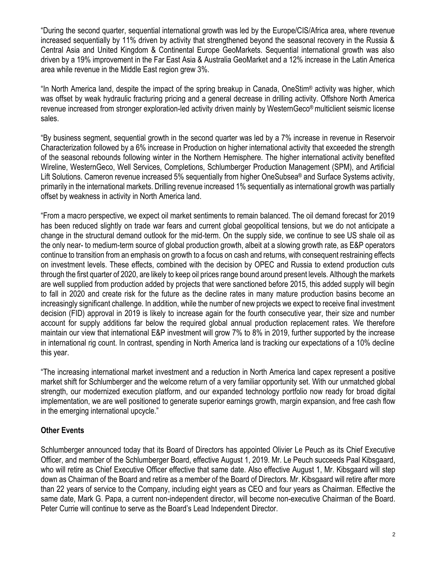"During the second quarter, sequential international growth was led by the Europe/CIS/Africa area, where revenue increased sequentially by 11% driven by activity that strengthened beyond the seasonal recovery in the Russia & Central Asia and United Kingdom & Continental Europe GeoMarkets. Sequential international growth was also driven by a 19% improvement in the Far East Asia & Australia GeoMarket and a 12% increase in the Latin America area while revenue in the Middle East region grew 3%.

"In North America land, despite the impact of the spring breakup in Canada, OneStim® activity was higher, which was offset by weak hydraulic fracturing pricing and a general decrease in drilling activity. Offshore North America revenue increased from stronger exploration-led activity driven mainly by WesternGeco® multiclient seismic license sales.

"By business segment, sequential growth in the second quarter was led by a 7% increase in revenue in Reservoir Characterization followed by a 6% increase in Production on higher international activity that exceeded the strength of the seasonal rebounds following winter in the Northern Hemisphere. The higher international activity benefited Wireline, WesternGeco, Well Services, Completions, Schlumberger Production Management (SPM), and Artificial Lift Solutions. Cameron revenue increased 5% sequentially from higher OneSubsea<sup>®</sup> and Surface Systems activity, primarily in the international markets. Drilling revenue increased 1% sequentially as international growth was partially offset by weakness in activity in North America land.

"From a macro perspective, we expect oil market sentiments to remain balanced. The oil demand forecast for 2019 has been reduced slightly on trade war fears and current global geopolitical tensions, but we do not anticipate a change in the structural demand outlook for the mid-term. On the supply side, we continue to see US shale oil as the only near- to medium-term source of global production growth, albeit at a slowing growth rate, as E&P operators continue to transition from an emphasis on growth to a focus on cash and returns, with consequent restraining effects on investment levels. These effects, combined with the decision by OPEC and Russia to extend production cuts through the first quarter of 2020, are likely to keep oil prices range bound around present levels. Although the markets are well supplied from production added by projects that were sanctioned before 2015, this added supply will begin to fall in 2020 and create risk for the future as the decline rates in many mature production basins become an increasingly significant challenge. In addition, while the number of new projects we expect to receive final investment decision (FID) approval in 2019 is likely to increase again for the fourth consecutive year, their size and number account for supply additions far below the required global annual production replacement rates. We therefore maintain our view that international E&P investment will grow 7% to 8% in 2019, further supported by the increase in international rig count. In contrast, spending in North America land is tracking our expectations of a 10% decline this year.

"The increasing international market investment and a reduction in North America land capex represent a positive market shift for Schlumberger and the welcome return of a very familiar opportunity set. With our unmatched global strength, our modernized execution platform, and our expanded technology portfolio now ready for broad digital implementation, we are well positioned to generate superior earnings growth, margin expansion, and free cash flow in the emerging international upcycle."

### **Other Events**

Schlumberger announced today that its Board of Directors has appointed Olivier Le Peuch as its Chief Executive Officer, and member of the Schlumberger Board, effective August 1, 2019. Mr. Le Peuch succeeds Paal Kibsgaard, who will retire as Chief Executive Officer effective that same date. Also effective August 1, Mr. Kibsgaard will step down as Chairman of the Board and retire as a member of the Board of Directors. Mr. Kibsgaard will retire after more than 22 years of service to the Company, including eight years as CEO and four years as Chairman. Effective the same date, Mark G. Papa, a current non-independent director, will become non-executive Chairman of the Board. Peter Currie will continue to serve as the Board's Lead Independent Director.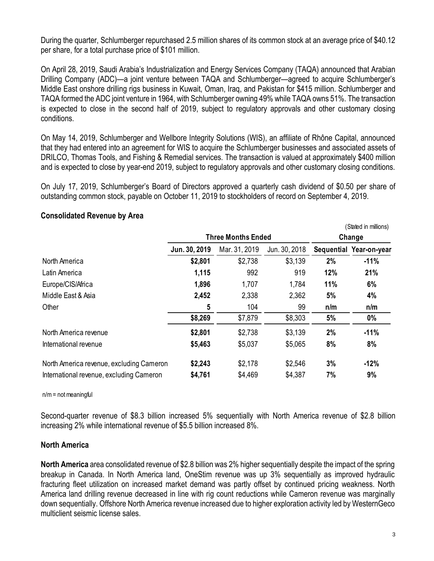During the quarter, Schlumberger repurchased 2.5 million shares of its common stock at an average price of \$40.12 per share, for a total purchase price of \$101 million.

On April 28, 2019, Saudi Arabia's Industrialization and Energy Services Company (TAQA) announced that Arabian Drilling Company (ADC)—a joint venture between TAQA and Schlumberger—agreed to acquire Schlumberger's Middle East onshore drilling rigs business in Kuwait, Oman, Iraq, and Pakistan for \$415 million. Schlumberger and TAQA formed the ADC joint venture in 1964, with Schlumberger owning 49% while TAQA owns 51%. The transaction is expected to close in the second half of 2019, subject to regulatory approvals and other customary closing conditions.

On May 14, 2019, Schlumberger and Wellbore Integrity Solutions (WIS), an affiliate of Rhône Capital, announced that they had entered into an agreement for WIS to acquire the Schlumberger businesses and associated assets of DRILCO, Thomas Tools, and Fishing & Remedial services. The transaction is valued at approximately \$400 million and is expected to close by year-end 2019, subject to regulatory approvals and other customary closing conditions.

On July 17, 2019, Schlumberger's Board of Directors approved a quarterly cash dividend of \$0.50 per share of outstanding common stock, payable on October 11, 2019 to stockholders of record on September 4, 2019.

|                                          |               |                           |               |        | (Stated in millions)    |
|------------------------------------------|---------------|---------------------------|---------------|--------|-------------------------|
|                                          |               | <b>Three Months Ended</b> |               | Change |                         |
|                                          | Jun. 30, 2019 | Mar. 31, 2019             | Jun. 30, 2018 |        | Sequential Year-on-year |
| North America                            | \$2,801       | \$2,738                   | \$3,139       | 2%     | $-11%$                  |
| Latin America                            | 1,115         | 992                       | 919           | 12%    | 21%                     |
| Europe/CIS/Africa                        | 1,896         | 1,707                     | 1,784         | 11%    | 6%                      |
| Middle East & Asia                       | 2,452         | 2,338                     | 2,362         | 5%     | 4%                      |
| Other                                    | 5             | 104                       | 99            | n/m    | n/m                     |
|                                          | \$8,269       | \$7,879                   | \$8,303       | 5%     | $0\%$                   |
| North America revenue                    | \$2,801       | \$2,738                   | \$3,139       | 2%     | $-11%$                  |
| International revenue                    | \$5,463       | \$5,037                   | \$5,065       | 8%     | 8%                      |
| North America revenue, excluding Cameron | \$2,243       | \$2,178                   | \$2,546       | 3%     | $-12%$                  |
| International revenue, excluding Cameron | \$4,761       | \$4,469                   | \$4,387       | 7%     | 9%                      |

### **Consolidated Revenue by Area**

 $n/m = not meaningful$ 

Second-quarter revenue of \$8.3 billion increased 5% sequentially with North America revenue of \$2.8 billion increasing 2% while international revenue of \$5.5 billion increased 8%.

### **North America**

**North America** area consolidated revenue of \$2.8 billion was 2% higher sequentially despite the impact of the spring breakup in Canada. In North America land, OneStim revenue was up 3% sequentially as improved hydraulic fracturing fleet utilization on increased market demand was partly offset by continued pricing weakness. North America land drilling revenue decreased in line with rig count reductions while Cameron revenue was marginally down sequentially. Offshore North America revenue increased due to higher exploration activity led by WesternGeco multiclient seismic license sales.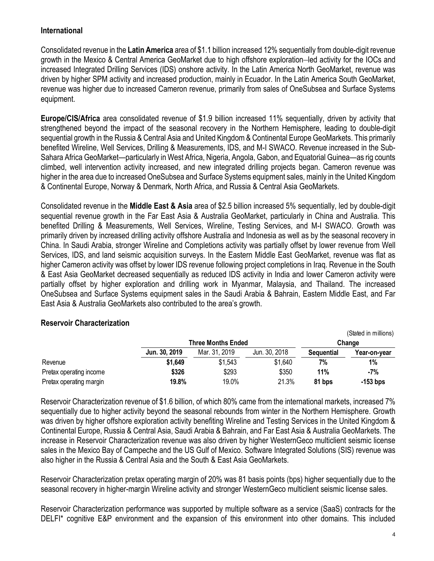### **International**

Consolidated revenue in the **Latin America** area of \$1.1 billion increased 12% sequentially from double-digit revenue growth in the Mexico & Central America GeoMarket due to high offshore exploration–led activity for the IOCs and increased Integrated Drilling Services (IDS) onshore activity. In the Latin America North GeoMarket, revenue was driven by higher SPM activity and increased production, mainly in Ecuador. In the Latin America South GeoMarket, revenue was higher due to increased Cameron revenue, primarily from sales of OneSubsea and Surface Systems equipment.

**Europe/CIS/Africa** area consolidated revenue of \$1.9 billion increased 11% sequentially, driven by activity that strengthened beyond the impact of the seasonal recovery in the Northern Hemisphere, leading to double-digit sequential growth in the Russia & Central Asia and United Kingdom & Continental Europe GeoMarkets. This primarily benefited Wireline, Well Services, Drilling & Measurements, IDS, and M-I SWACO. Revenue increased in the Sub-Sahara Africa GeoMarket—particularly in West Africa, Nigeria, Angola, Gabon, and Equatorial Guinea—as rig counts climbed, well intervention activity increased, and new integrated drilling projects began. Cameron revenue was higher in the area due to increased OneSubsea and Surface Systems equipment sales, mainly in the United Kingdom & Continental Europe, Norway & Denmark, North Africa, and Russia & Central Asia GeoMarkets.

Consolidated revenue in the **Middle East & Asia** area of \$2.5 billion increased 5% sequentially, led by double-digit sequential revenue growth in the Far East Asia & Australia GeoMarket, particularly in China and Australia. This benefited Drilling & Measurements, Well Services, Wireline, Testing Services, and M-I SWACO. Growth was primarily driven by increased drilling activity offshore Australia and Indonesia as well as by the seasonal recovery in China. In Saudi Arabia, stronger Wireline and Completions activity was partially offset by lower revenue from Well Services, IDS, and land seismic acquisition surveys. In the Eastern Middle East GeoMarket, revenue was flat as higher Cameron activity was offset by lower IDS revenue following project completions in Iraq. Revenue in the South & East Asia GeoMarket decreased sequentially as reduced IDS activity in India and lower Cameron activity were partially offset by higher exploration and drilling work in Myanmar, Malaysia, and Thailand. The increased OneSubsea and Surface Systems equipment sales in the Saudi Arabia & Bahrain, Eastern Middle East, and Far East Asia & Australia GeoMarkets also contributed to the area's growth.

|                         |               |                           |               |                   | (Stated in millions) |
|-------------------------|---------------|---------------------------|---------------|-------------------|----------------------|
|                         |               | <b>Three Months Ended</b> | Change        |                   |                      |
|                         | Jun. 30, 2019 | Mar. 31, 2019             | Jun. 30, 2018 | <b>Sequential</b> | Year-on-vear         |
| Revenue                 | \$1,649       | \$1,543                   | \$1,640       | 7%                | 1%                   |
| Pretax operating income | \$326         | \$293                     | \$350         | 11%               | $-7%$                |
| Pretax operating margin | 19.8%         | 19.0%                     | 21.3%         | 81 bps            | $-153$ bps           |

### **Reservoir Characterization**

Reservoir Characterization revenue of \$1.6 billion, of which 80% came from the international markets, increased 7% sequentially due to higher activity beyond the seasonal rebounds from winter in the Northern Hemisphere. Growth was driven by higher offshore exploration activity benefiting Wireline and Testing Services in the United Kingdom & Continental Europe, Russia & Central Asia, Saudi Arabia & Bahrain, and Far East Asia & Australia GeoMarkets. The increase in Reservoir Characterization revenue was also driven by higher WesternGeco multiclient seismic license sales in the Mexico Bay of Campeche and the US Gulf of Mexico. Software Integrated Solutions (SIS) revenue was also higher in the Russia & Central Asia and the South & East Asia GeoMarkets.

Reservoir Characterization pretax operating margin of 20% was 81 basis points (bps) higher sequentially due to the seasonal recovery in higher-margin Wireline activity and stronger WesternGeco multiclient seismic license sales.

Reservoir Characterization performance was supported by multiple software as a service (SaaS) contracts for the DELFI\* cognitive E&P environment and the expansion of this environment into other domains. This included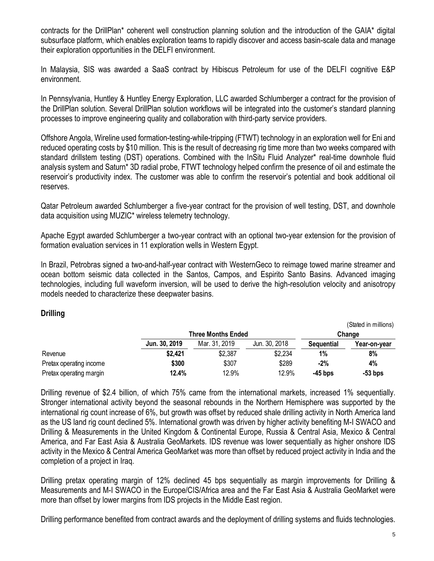contracts for the DrillPlan\* coherent well construction planning solution and the introduction of the GAIA\* digital subsurface platform, which enables exploration teams to rapidly discover and access basin-scale data and manage their exploration opportunities in the DELFI environment.

In Malaysia, SIS was awarded a SaaS contract by Hibiscus Petroleum for use of the DELFI cognitive E&P environment.

In Pennsylvania, Huntley & Huntley Energy Exploration, LLC awarded Schlumberger a contract for the provision of the DrillPlan solution. Several DrillPlan solution workflows will be integrated into the customer's standard planning processes to improve engineering quality and collaboration with third-party service providers.

Offshore Angola, Wireline used formation-testing-while-tripping (FTWT) technology in an exploration well for Eni and reduced operating costs by \$10 million. This is the result of decreasing rig time more than two weeks compared with standard drillstem testing (DST) operations. Combined with the InSitu Fluid Analyzer\* real-time downhole fluid analysis system and Saturn\* 3D radial probe, FTWT technology helped confirm the presence of oil and estimate the reservoir's productivity index. The customer was able to confirm the reservoir's potential and book additional oil reserves.

Qatar Petroleum awarded Schlumberger a five-year contract for the provision of well testing, DST, and downhole data acquisition using MUZIC\* wireless telemetry technology.

Apache Egypt awarded Schlumberger a two-year contract with an optional two-year extension for the provision of formation evaluation services in 11 exploration wells in Western Egypt.

In Brazil, Petrobras signed a two-and-half-year contract with WesternGeco to reimage towed marine streamer and ocean bottom seismic data collected in the Santos, Campos, and Espirito Santo Basins. Advanced imaging technologies, including full waveform inversion, will be used to derive the high-resolution velocity and anisotropy models needed to characterize these deepwater basins.

### **Drilling**

|                         |               |                           |               |                   | (Stated in millions) |
|-------------------------|---------------|---------------------------|---------------|-------------------|----------------------|
|                         |               | <b>Three Months Ended</b> |               | Change            |                      |
|                         | Jun. 30, 2019 | Mar. 31, 2019             | Jun. 30, 2018 | <b>Sequential</b> | Year-on-year         |
| Revenue                 | \$2,421       | \$2,387                   | \$2,234       | 1%                | 8%                   |
| Pretax operating income | \$300         | \$307                     | \$289         | -2%               | 4%                   |
| Pretax operating margin | 12.4%         | 12.9%                     | 12.9%         | -45 bps           | $-53$ bps            |

Drilling revenue of \$2.4 billion, of which 75% came from the international markets, increased 1% sequentially. Stronger international activity beyond the seasonal rebounds in the Northern Hemisphere was supported by the international rig count increase of 6%, but growth was offset by reduced shale drilling activity in North America land as the US land rig count declined 5%. International growth was driven by higher activity benefiting M-I SWACO and Drilling & Measurements in the United Kingdom & Continental Europe, Russia & Central Asia, Mexico & Central America, and Far East Asia & Australia GeoMarkets. IDS revenue was lower sequentially as higher onshore IDS activity in the Mexico & Central America GeoMarket was more than offset by reduced project activity in India and the completion of a project in Iraq.

Drilling pretax operating margin of 12% declined 45 bps sequentially as margin improvements for Drilling & Measurements and M-I SWACO in the Europe/CIS/Africa area and the Far East Asia & Australia GeoMarket were more than offset by lower margins from IDS projects in the Middle East region.

Drilling performance benefited from contract awards and the deployment of drilling systems and fluids technologies.

 $\sqrt{2}$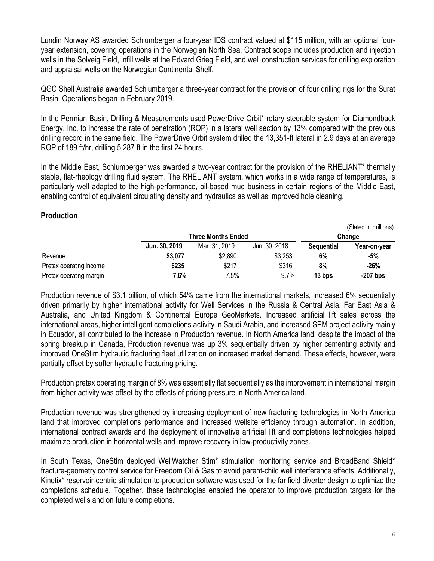Lundin Norway AS awarded Schlumberger a four-year IDS contract valued at \$115 million, with an optional fouryear extension, covering operations in the Norwegian North Sea. Contract scope includes production and injection wells in the Solveig Field, infill wells at the Edvard Grieg Field, and well construction services for drilling exploration and appraisal wells on the Norwegian Continental Shelf.

QGC Shell Australia awarded Schlumberger a three-year contract for the provision of four drilling rigs for the Surat Basin. Operations began in February 2019.

In the Permian Basin, Drilling & Measurements used PowerDrive Orbit\* rotary steerable system for Diamondback Energy, Inc. to increase the rate of penetration (ROP) in a lateral well section by 13% compared with the previous drilling record in the same field. The PowerDrive Orbit system drilled the 13,351-ft lateral in 2.9 days at an average ROP of 189 ft/hr, drilling 5,287 ft in the first 24 hours.

In the Middle East, Schlumberger was awarded a two-year contract for the provision of the RHELIANT\* thermally stable, flat-rheology drilling fluid system. The RHELIANT system, which works in a wide range of temperatures, is particularly well adapted to the high-performance, oil-based mud business in certain regions of the Middle East, enabling control of equivalent circulating density and hydraulics as well as improved hole cleaning.

### **Production**

|                         |               |                           |               |                   | (Stated In Millions) |
|-------------------------|---------------|---------------------------|---------------|-------------------|----------------------|
|                         |               | <b>Three Months Ended</b> | Change        |                   |                      |
|                         | Jun. 30, 2019 | Mar. 31, 2019             | Jun. 30, 2018 | <b>Sequential</b> | Year-on-year         |
| Revenue                 | \$3,077       | \$2,890                   | \$3,253       | 6%                | $-5%$                |
| Pretax operating income | \$235         | \$217                     | \$316         | 8%                | $-26%$               |
| Pretax operating margin | 7.6%          | 7.5%                      | 9.7%          | 13 bps            | $-207$ bps           |

Production revenue of \$3.1 billion, of which 54% came from the international markets, increased 6% sequentially driven primarily by higher international activity for Well Services in the Russia & Central Asia, Far East Asia & Australia, and United Kingdom & Continental Europe GeoMarkets. Increased artificial lift sales across the international areas, higher intelligent completions activity in Saudi Arabia, and increased SPM project activity mainly in Ecuador, all contributed to the increase in Production revenue. In North America land, despite the impact of the spring breakup in Canada, Production revenue was up 3% sequentially driven by higher cementing activity and improved OneStim hydraulic fracturing fleet utilization on increased market demand. These effects, however, were partially offset by softer hydraulic fracturing pricing.

Production pretax operating margin of 8% was essentially flat sequentially as the improvement in international margin from higher activity was offset by the effects of pricing pressure in North America land.

Production revenue was strengthened by increasing deployment of new fracturing technologies in North America land that improved completions performance and increased wellsite efficiency through automation. In addition, international contract awards and the deployment of innovative artificial lift and completions technologies helped maximize production in horizontal wells and improve recovery in low-productivity zones.

In South Texas, OneStim deployed WellWatcher Stim\* stimulation monitoring service and BroadBand Shield\* fracture-geometry control service for Freedom Oil & Gas to avoid parent-child well interference effects. Additionally, Kinetix\* reservoir-centric stimulation-to-production software was used for the far field diverter design to optimize the completions schedule. Together, these technologies enabled the operator to improve production targets for the completed wells and on future completions.

(Stated in millions)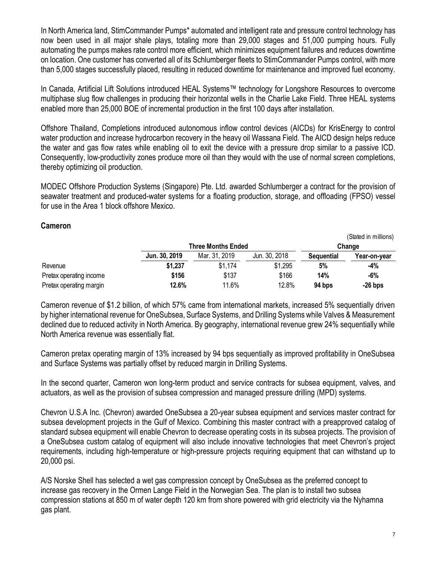In North America land, StimCommander Pumps\* automated and intelligent rate and pressure control technology has now been used in all major shale plays, totaling more than 29,000 stages and 51,000 pumping hours. Fully automating the pumps makes rate control more efficient, which minimizes equipment failures and reduces downtime on location. One customer has converted all of its Schlumberger fleets to StimCommander Pumps control, with more than 5,000 stages successfully placed, resulting in reduced downtime for maintenance and improved fuel economy.

In Canada, Artificial Lift Solutions introduced HEAL Systems™ technology for Longshore Resources to overcome multiphase slug flow challenges in producing their horizontal wells in the Charlie Lake Field. Three HEAL systems enabled more than 25,000 BOE of incremental production in the first 100 days after installation.

Offshore Thailand, Completions introduced autonomous inflow control devices (AICDs) for KrisEnergy to control water production and increase hydrocarbon recovery in the heavy oil Wassana Field. The AICD design helps reduce the water and gas flow rates while enabling oil to exit the device with a pressure drop similar to a passive ICD. Consequently, low-productivity zones produce more oil than they would with the use of normal screen completions, thereby optimizing oil production.

MODEC Offshore Production Systems (Singapore) Pte. Ltd. awarded Schlumberger a contract for the provision of seawater treatment and produced-water systems for a floating production, storage, and offloading (FPSO) vessel for use in the Area 1 block offshore Mexico.

**Cameron** 

|                         |               |                           |               |                   | (Stated in millions) |
|-------------------------|---------------|---------------------------|---------------|-------------------|----------------------|
|                         |               | <b>Three Months Ended</b> | Change        |                   |                      |
|                         | Jun. 30, 2019 | Mar. 31, 2019             | Jun. 30, 2018 | <b>Sequential</b> | Year-on-year         |
| Revenue                 | \$1,237       | \$1,174                   | \$1,295       | 5%                | -4%                  |
| Pretax operating income | \$156         | \$137                     | \$166         | 14%               | -6%                  |
| Pretax operating margin | 12.6%         | 11.6%                     | 12.8%         | 94 bps            | $-26$ bps            |

Cameron revenue of \$1.2 billion, of which 57% came from international markets, increased 5% sequentially driven by higher international revenue for OneSubsea, Surface Systems, and Drilling Systems while Valves & Measurement declined due to reduced activity in North America. By geography, international revenue grew 24% sequentially while North America revenue was essentially flat.

Cameron pretax operating margin of 13% increased by 94 bps sequentially as improved profitability in OneSubsea and Surface Systems was partially offset by reduced margin in Drilling Systems.

In the second quarter, Cameron won long-term product and service contracts for subsea equipment, valves, and actuators, as well as the provision of subsea compression and managed pressure drilling (MPD) systems.

Chevron U.S.A Inc. (Chevron) awarded OneSubsea a 20-year subsea equipment and services master contract for subsea development projects in the Gulf of Mexico. Combining this master contract with a preapproved catalog of standard subsea equipment will enable Chevron to decrease operating costs in its subsea projects. The provision of a OneSubsea custom catalog of equipment will also include innovative technologies that meet Chevron's project requirements, including high-temperature or high-pressure projects requiring equipment that can withstand up to 20,000 psi.

A/S Norske Shell has selected a wet gas compression concept by OneSubsea as the preferred concept to increase gas recovery in the Ormen Lange Field in the Norwegian Sea. The plan is to install two subsea compression stations at 850 m of water depth 120 km from shore powered with grid electricity via the Nyhamna gas plant.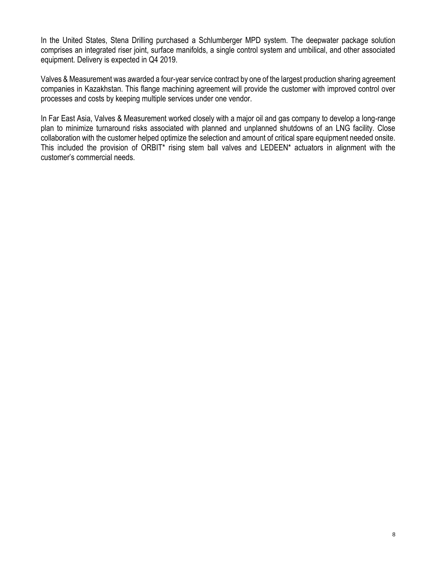In the United States, Stena Drilling purchased a Schlumberger MPD system. The deepwater package solution comprises an integrated riser joint, surface manifolds, a single control system and umbilical, and other associated equipment. Delivery is expected in Q4 2019.

Valves & Measurement was awarded a four-year service contract by one of the largest production sharing agreement companies in Kazakhstan. This flange machining agreement will provide the customer with improved control over processes and costs by keeping multiple services under one vendor.

In Far East Asia, Valves & Measurement worked closely with a major oil and gas company to develop a long-range plan to minimize turnaround risks associated with planned and unplanned shutdowns of an LNG facility. Close collaboration with the customer helped optimize the selection and amount of critical spare equipment needed onsite. This included the provision of ORBIT\* rising stem ball valves and LEDEEN\* actuators in alignment with the customer's commercial needs.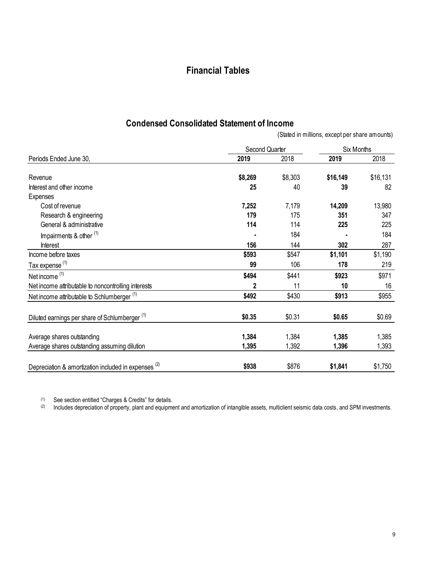# **Financial Tables**

# **Condensed Consolidated Statement of Income**

(Stated in millions, except per share amounts)

|                                                                 | Second Quarter | Six Months |          |          |
|-----------------------------------------------------------------|----------------|------------|----------|----------|
| Periods Ended June 30,                                          | 2019           | 2018       | 2019     | 2018     |
| Revenue                                                         | \$8,269        | \$8,303    | \$16,149 | \$16,131 |
| Interest and other income                                       | 25             | 40         | 39       | 82       |
| Expenses                                                        |                |            |          |          |
| Cost of revenue                                                 | 7,252          | 7,179      | 14,209   | 13,980   |
| Research & engineering                                          | 179            | 175        | 351      | 347      |
| General & administrative                                        | 114            | 114        | 225      | 225      |
| Impairments & other <sup>(1)</sup>                              |                | 184        |          | 184      |
| <b>Interest</b>                                                 | 156            | 144        | 302      | 287      |
| Income before taxes                                             | \$593          | \$547      | \$1,101  | \$1,190  |
| Tax expense <sup>(1)</sup>                                      | 99             | 106        | 178      | 219      |
| Net income <sup>(1)</sup>                                       | \$494          | \$441      | \$923    | \$971    |
| Net income attributable to noncontrolling interests             | $\mathbf{2}$   | 11         | 10       | 16       |
| Net income attributable to Schlumberger <sup>(1)</sup>          | \$492          | \$430      | \$913    | \$955    |
| Diluted earnings per share of Schlumberger <sup>(1)</sup>       | \$0.35         | \$0.31     | \$0.65   | \$0.69   |
|                                                                 |                |            |          |          |
| Average shares outstanding                                      | 1,384          | 1,384      | 1,385    | 1,385    |
| Average shares outstanding assuming dilution                    | 1,395          | 1,392      | 1,396    | 1,393    |
| Depreciation & amortization included in expenses <sup>(2)</sup> | \$938          | \$876      | \$1,841  | \$1,750  |

 $(1)$  See section entitled "Charges & Credits" for details.

 $^{(2)}$  Includes depreciation of property, plant and equipment and amortization of intangible assets, multiclient seismic data costs, and SPM investments.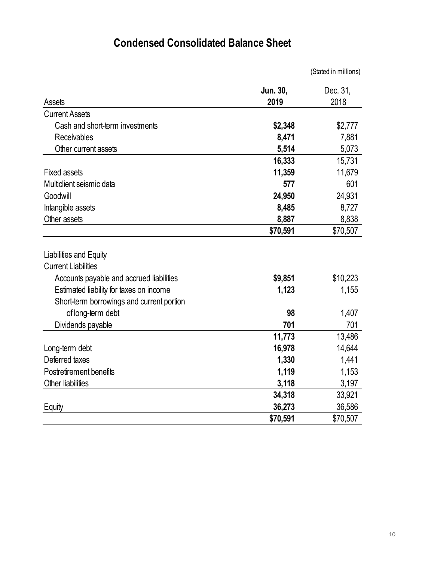# **Condensed Consolidated Balance Sheet**

|                                           |          | (Stated in millions) |
|-------------------------------------------|----------|----------------------|
|                                           | Jun. 30, | Dec. 31,             |
| Assets                                    | 2019     | 2018                 |
| <b>Current Assets</b>                     |          |                      |
| Cash and short-term investments           | \$2,348  | \$2,777              |
| Receivables                               | 8,471    | 7,881                |
| Other current assets                      | 5,514    | 5,073                |
|                                           | 16,333   | 15,731               |
| <b>Fixed assets</b>                       | 11,359   | 11,679               |
| Multiclient seismic data                  | 577      | 601                  |
| Goodwill                                  | 24,950   | 24,931               |
| Intangible assets                         | 8,485    | 8,727                |
| Other assets                              | 8,887    | 8,838                |
|                                           | \$70,591 | \$70,507             |
| Liabilities and Equity                    |          |                      |
| <b>Current Liabilities</b>                |          |                      |
| Accounts payable and accrued liabilities  | \$9,851  | \$10,223             |
| Estimated liability for taxes on income   | 1,123    | 1,155                |
| Short-term borrowings and current portion |          |                      |
| of long-term debt                         | 98       | 1,407                |
| Dividends payable                         | 701      | 701                  |
|                                           | 11,773   | 13,486               |
| Long-term debt                            | 16,978   | 14,644               |
| Deferred taxes                            | 1,330    | 1,441                |
| Postretirement benefits                   | 1,119    | 1,153                |
| Other liabilities                         | 3,118    | 3,197                |
|                                           | 34,318   | 33,921               |
| Equity                                    | 36,273   | 36,586               |
|                                           | \$70,591 | \$70,507             |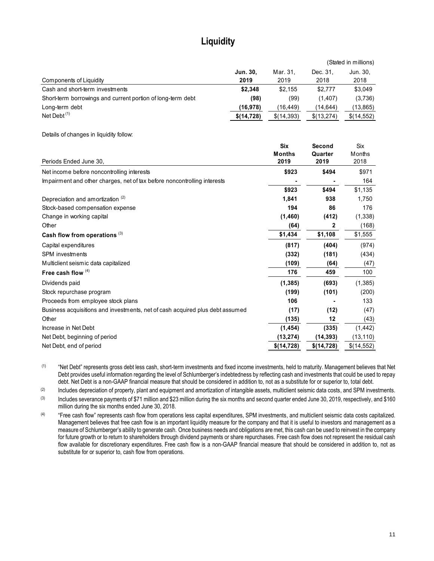# **Liquidity**

|                                                             |            |            | (Stated in millions) |            |  |
|-------------------------------------------------------------|------------|------------|----------------------|------------|--|
|                                                             | Jun. 30.   | Mar. 31.   | Dec. 31.             | Jun. 30.   |  |
| Components of Liquidity                                     | 2019       | 2019       | 2018                 | 2018       |  |
| Cash and short-term investments                             | \$2.348    | \$2.155    | \$2,777              | \$3,049    |  |
| Short-term borrowings and current portion of long-term debt | (98)       | (99)       | (1,407)              | (3,736)    |  |
| Long-term debt                                              | (16, 978)  | (16.449)   | (14,644)             | (13,865)   |  |
| Net Debt $(1)$                                              | \$(14,728) | \$(14,393) | \$(13,274)           | \$(14,552) |  |

Details of changes in liquidity follow:

|                                                                               | <b>Six</b>            | Second          | <b>Six</b>     |
|-------------------------------------------------------------------------------|-----------------------|-----------------|----------------|
| Periods Ended June 30,                                                        | <b>Months</b><br>2019 | Quarter<br>2019 | Months<br>2018 |
| Net income before noncontrolling interests                                    | \$923                 | \$494           | \$971          |
| Impairment and other charges, net of tax before noncontrolling interests      |                       |                 | 164            |
|                                                                               | \$923                 | \$494           | \$1,135        |
| Depreciation and amortization (2)                                             | 1,841                 | 938             | 1,750          |
| Stock-based compensation expense                                              | 194                   | 86              | 176            |
| Change in working capital                                                     | (1,460)               | (412)           | (1, 338)       |
| Other                                                                         | (64)                  | 2               | (168)          |
| Cash flow from operations <sup>(3)</sup>                                      | \$1,434               | \$1,108         | \$1,555        |
| Capital expenditures                                                          | (817)                 | (404)           | (974)          |
| SPM investments                                                               | (332)                 | (181)           | (434)          |
| Multiclient seismic data capitalized                                          | (109)                 | (64)            | (47)           |
| Free cash flow $(4)$                                                          | 176                   | 459             | 100            |
| Dividends paid                                                                | (1, 385)              | (693)           | (1, 385)       |
| Stock repurchase program                                                      | (199)                 | (101)           | (200)          |
| Proceeds from employee stock plans                                            | 106                   |                 | 133            |
| Business acquisitions and investments, net of cash acquired plus debt assumed | (17)                  | (12)            | (47)           |
| Other                                                                         | (135)                 | 12              | (43)           |
| Increase in Net Debt                                                          | (1, 454)              | (335)           | (1, 442)       |
| Net Debt, beginning of period                                                 | (13, 274)             | (14,393)        | (13, 110)      |
| Net Debt, end of period                                                       | \$(14,728)            | \$(14,728)      | \$(14,552)     |

(1) "Net Debt" represents gross debt less cash, short-term investments and fixed income investments, held to maturity. Management believes that Net Debt provides useful information regarding the level of Schlumberger's indebtedness by reflecting cash and investments that could be used to repay debt. Net Debt is a non-GAAP financial measure that should be considered in addition to, not as a substitute for or superior to, total debt.

(2) Includes depreciation of property, plant and equipment and amortization of intangible assets, multiclient seismic data costs, and SPM investments.

(3) Includes severance payments of \$71 million and \$23 million during the six months and second quarter ended June 30, 2019, respectively, and \$160 million during the six months ended June 30, 2018.

<sup>(4)</sup> "Free cash flow" represents cash flow from operations less capital expenditures, SPM investments, and multiclient seismic data costs capitalized. Management believes that free cash flow is an important liquidity measure for the company and that it is useful to investors and management as a measure of Schlumberger's ability to generate cash. Once business needs and obligations are met, this cash can be used to reinvest in the company for future growth or to return to shareholders through dividend payments or share repurchases. Free cash flow does not represent the residual cash flow available for discretionary expenditures. Free cash flow is a non-GAAP financial measure that should be considered in addition to, not as substitute for or superior to, cash flow from operations.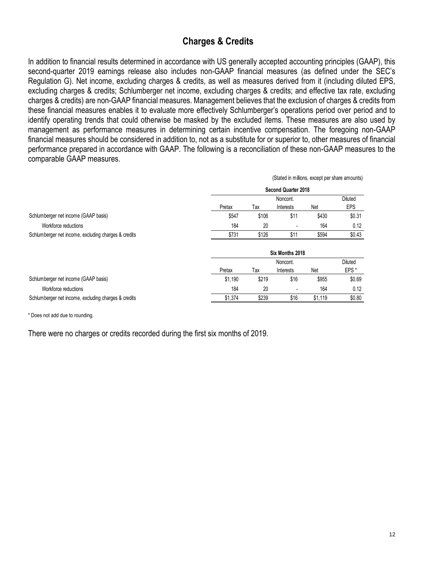# **Charges & Credits**

In addition to financial results determined in accordance with US generally accepted accounting principles (GAAP), this second-quarter 2019 earnings release also includes non-GAAP financial measures (as defined under the SEC's Regulation G). Net income, excluding charges & credits, as well as measures derived from it (including diluted EPS, excluding charges & credits; Schlumberger net income, excluding charges & credits; and effective tax rate, excluding charges & credits) are non-GAAP financial measures. Management believes that the exclusion of charges & credits from these financial measures enables it to evaluate more effectively Schlumberger's operations period over period and to identify operating trends that could otherwise be masked by the excluded items. These measures are also used by management as performance measures in determining certain incentive compensation. The foregoing non-GAAP financial measures should be considered in addition to, not as a substitute for or superior to, other measures of financial performance prepared in accordance with GAAP. The following is a reconciliation of these non-GAAP measures to the comparable GAAP measures.

|                                                      | (Stated in millions, except per share amounts) |       |                            |         |                  |  |
|------------------------------------------------------|------------------------------------------------|-------|----------------------------|---------|------------------|--|
|                                                      |                                                |       | <b>Second Quarter 2018</b> |         |                  |  |
|                                                      |                                                |       | Noncont.                   |         | <b>Diluted</b>   |  |
|                                                      | Pretax                                         | Tax   | Interests                  | Net     | <b>EPS</b>       |  |
| Schlumberger net income (GAAP basis)                 | \$547                                          | \$106 | \$11                       | \$430   | \$0.31           |  |
| Workforce reductions                                 | 184                                            | 20    |                            | 164     | 0.12             |  |
| Schlumberger net income, excluding charges & credits | \$731                                          | \$126 | \$11                       | \$594   | \$0.43           |  |
|                                                      | Six Months 2018                                |       |                            |         |                  |  |
|                                                      |                                                |       | Noncont.                   |         | Diluted          |  |
|                                                      | Pretax                                         | Tax   | Interests                  | Net     | EPS <sup>*</sup> |  |
| Schlumberger net income (GAAP basis)                 | \$1,190                                        | \$219 | \$16                       | \$955   | \$0.69           |  |
| Workforce reductions                                 | 184                                            | 20    |                            | 164     | 0.12             |  |
| Schlumberger net income, excluding charges & credits | \$1,374                                        | \$239 | \$16                       | \$1,119 | \$0.80           |  |

\* Does not add due to rounding.

There were no charges or credits recorded during the first six months of 2019.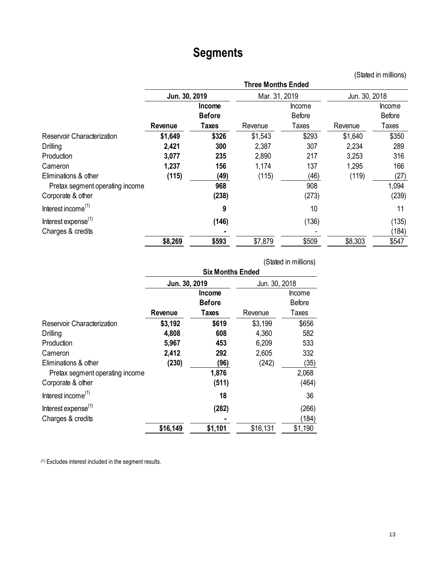# **Segments**

(Stated in millions)

|                                 | <b>Three Months Ended</b> |               |               |               |               |               |  |
|---------------------------------|---------------------------|---------------|---------------|---------------|---------------|---------------|--|
|                                 | Jun. 30, 2019             |               | Mar. 31, 2019 |               | Jun. 30, 2018 |               |  |
|                                 |                           | <b>Income</b> |               | <b>Income</b> |               | Income        |  |
|                                 |                           | <b>Before</b> |               | <b>Before</b> |               | <b>Before</b> |  |
|                                 | Revenue                   | Taxes         | Revenue       | Taxes         | Revenue       | Taxes         |  |
| Reservoir Characterization      | \$1,649                   | \$326         | \$1,543       | \$293         | \$1,640       | \$350         |  |
| <b>Drilling</b>                 | 2,421                     | 300           | 2,387         | 307           | 2,234         | 289           |  |
| Production                      | 3,077                     | 235           | 2,890         | 217           | 3,253         | 316           |  |
| Cameron                         | 1,237                     | 156           | 1,174         | 137           | 1,295         | 166           |  |
| Eliminations & other            | (115)                     | (49)          | (115)         | (46)          | (119)         | (27)          |  |
| Pretax segment operating income |                           | 968           |               | 908           |               | 1,094         |  |
| Corporate & other               |                           | (238)         |               | (273)         |               | (239)         |  |
| Interest income <sup>(1)</sup>  |                           | 9             |               | 10            |               | 11            |  |
| Interest expense <sup>(1)</sup> |                           | (146)         |               | (136)         |               | (135)         |  |
| Charges & credits               |                           |               |               |               |               | (184)         |  |
|                                 | \$8,269                   | \$593         | \$7,879       | \$509         | \$8,303       | \$547         |  |

|                                 |                         |               |               | (Stated in millions) |
|---------------------------------|-------------------------|---------------|---------------|----------------------|
|                                 | <b>Six Months Ended</b> |               |               |                      |
|                                 | Jun. 30, 2019           |               | Jun. 30, 2018 |                      |
|                                 |                         | <b>Income</b> |               | <b>Income</b>        |
|                                 |                         | <b>Before</b> |               | <b>Before</b>        |
|                                 | Revenue                 | <b>Taxes</b>  | Revenue       | Taxes                |
| Reservoir Characterization      | \$3,192                 | \$619         | \$3,199       | \$656                |
| Drilling                        | 4,808                   | 608           | 4,360         | 582                  |
| Production                      | 5,967                   | 453           | 6,209         | 533                  |
| Cameron                         | 2,412                   | 292           | 2,605         | 332                  |
| Eliminations & other            | (230)                   | (96)          | (242)         | (35)                 |
| Pretax segment operating income |                         | 1,876         |               | 2,068                |
| Corporate & other               |                         | (511)         |               | (464)                |
| Interest income <sup>(1)</sup>  |                         | 18            |               | 36                   |
| Interest expense <sup>(1)</sup> |                         | (282)         |               | (266)                |
| Charges & credits               |                         |               |               | (184)                |
|                                 | \$16,149                | \$1,101       | \$16,131      | \$1,190              |

(1) Excludes interest included in the segment results.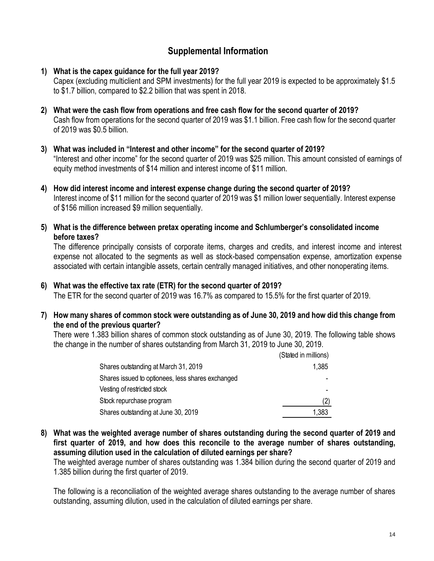### **Supplemental Information**

- **1) What is the capex guidance for the full year 2019?** Capex (excluding multiclient and SPM investments) for the full year 2019 is expected to be approximately \$1.5 to \$1.7 billion, compared to \$2.2 billion that was spent in 2018.
- **2) What were the cash flow from operations and free cash flow for the second quarter of 2019?** Cash flow from operations for the second quarter of 2019 was \$1.1 billion. Free cash flow for the second quarter of 2019 was \$0.5 billion.
- **3) What was included in "Interest and other income" for the second quarter of 2019?** "Interest and other income" for the second quarter of 2019 was \$25 million. This amount consisted of earnings of equity method investments of \$14 million and interest income of \$11 million.
- **4) How did interest income and interest expense change during the second quarter of 2019?** Interest income of \$11 million for the second quarter of 2019 was \$1 million lower sequentially. Interest expense of \$156 million increased \$9 million sequentially.
- **5) What is the difference between pretax operating income and Schlumberger's consolidated income before taxes?**

The difference principally consists of corporate items, charges and credits, and interest income and interest expense not allocated to the segments as well as stock-based compensation expense, amortization expense associated with certain intangible assets, certain centrally managed initiatives, and other nonoperating items.

### **6) What was the effective tax rate (ETR) for the second quarter of 2019?**

The ETR for the second quarter of 2019 was 16.7% as compared to 15.5% for the first quarter of 2019.

**7) How many shares of common stock were outstanding as of June 30, 2019 and how did this change from the end of the previous quarter?**

There were 1.383 billion shares of common stock outstanding as of June 30, 2019. The following table shows the change in the number of shares outstanding from March 31, 2019 to June 30, 2019.

|                                                   | (Stated in millions) |
|---------------------------------------------------|----------------------|
| Shares outstanding at March 31, 2019              | 1,385                |
| Shares issued to optionees, less shares exchanged |                      |
| Vesting of restricted stock                       |                      |
| Stock repurchase program                          | (2)                  |
| Shares outstanding at June 30, 2019               | 1,383                |

**8) What was the weighted average number of shares outstanding during the second quarter of 2019 and first quarter of 2019, and how does this reconcile to the average number of shares outstanding, assuming dilution used in the calculation of diluted earnings per share?**

The weighted average number of shares outstanding was 1.384 billion during the second quarter of 2019 and 1.385 billion during the first quarter of 2019.

The following is a reconciliation of the weighted average shares outstanding to the average number of shares outstanding, assuming dilution, used in the calculation of diluted earnings per share.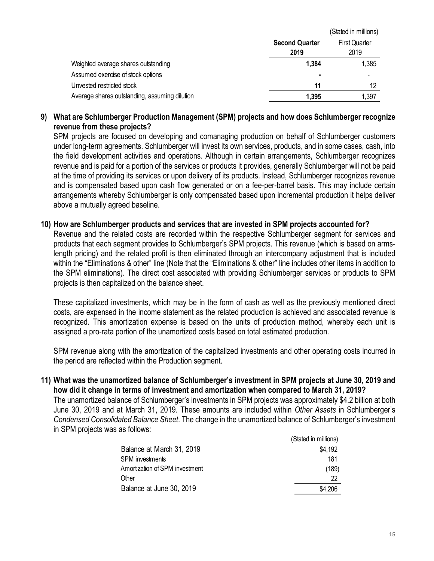|                                               | (Stated in millions)          |                              |
|-----------------------------------------------|-------------------------------|------------------------------|
|                                               | <b>Second Quarter</b><br>2019 | <b>First Quarter</b><br>2019 |
| Weighted average shares outstanding           | 1,384                         | 1,385                        |
| Assumed exercise of stock options             | $\blacksquare$                |                              |
| Unvested restricted stock                     | 11                            | 12                           |
| Average shares outstanding, assuming dilution | 1,395                         | 1,397                        |

### **9) What are Schlumberger Production Management (SPM) projects and how does Schlumberger recognize revenue from these projects?**

SPM projects are focused on developing and comanaging production on behalf of Schlumberger customers under long-term agreements. Schlumberger will invest its own services, products, and in some cases, cash, into the field development activities and operations. Although in certain arrangements, Schlumberger recognizes revenue and is paid for a portion of the services or products it provides, generally Schlumberger will not be paid at the time of providing its services or upon delivery of its products. Instead, Schlumberger recognizes revenue and is compensated based upon cash flow generated or on a fee-per-barrel basis. This may include certain arrangements whereby Schlumberger is only compensated based upon incremental production it helps deliver above a mutually agreed baseline.

### **10) How are Schlumberger products and services that are invested in SPM projects accounted for?**

Revenue and the related costs are recorded within the respective Schlumberger segment for services and products that each segment provides to Schlumberger's SPM projects. This revenue (which is based on armslength pricing) and the related profit is then eliminated through an intercompany adjustment that is included within the "Eliminations & other" line (Note that the "Eliminations & other" line includes other items in addition to the SPM eliminations). The direct cost associated with providing Schlumberger services or products to SPM projects is then capitalized on the balance sheet.

These capitalized investments, which may be in the form of cash as well as the previously mentioned direct costs, are expensed in the income statement as the related production is achieved and associated revenue is recognized. This amortization expense is based on the units of production method, whereby each unit is assigned a pro-rata portion of the unamortized costs based on total estimated production.

SPM revenue along with the amortization of the capitalized investments and other operating costs incurred in the period are reflected within the Production segment.

### **11) What was the unamortized balance of Schlumberger's investment in SPM projects at June 30, 2019 and how did it change in terms of investment and amortization when compared to March 31, 2019?**

The unamortized balance of Schlumberger's investments in SPM projects was approximately \$4.2 billion at both June 30, 2019 and at March 31, 2019. These amounts are included within *Other Assets* in Schlumberger's *Condensed Consolidated Balance Sheet*. The change in the unamortized balance of Schlumberger's investment in SPM projects was as follows:

|                                | (Stated in millions) |
|--------------------------------|----------------------|
| Balance at March 31, 2019      | \$4.192              |
| <b>SPM</b> investments         | 181                  |
| Amortization of SPM investment | (189)                |
| Other                          | 22                   |
| Balance at June 30, 2019       | \$4.206              |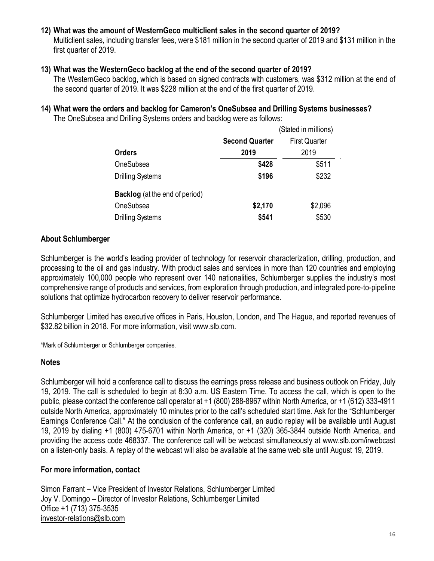### **12) What was the amount of WesternGeco multiclient sales in the second quarter of 2019?**

Multiclient sales, including transfer fees, were \$181 million in the second quarter of 2019 and \$131 million in the first quarter of 2019.

### **13) What was the WesternGeco backlog at the end of the second quarter of 2019?**

The WesternGeco backlog, which is based on signed contracts with customers, was \$312 million at the end of the second quarter of 2019. It was \$228 million at the end of the first quarter of 2019.

#### **14) What were the orders and backlog for Cameron's OneSubsea and Drilling Systems businesses?** The OneSubsea and Drilling Systems orders and backlog were as follows:

|                                       | (Stated in millions)  |                      |
|---------------------------------------|-----------------------|----------------------|
|                                       | <b>Second Quarter</b> | <b>First Quarter</b> |
| <b>Orders</b>                         | 2019                  | 2019                 |
| OneSubsea                             | \$428                 | \$511                |
| <b>Drilling Systems</b>               | \$196                 | \$232                |
| <b>Backlog</b> (at the end of period) |                       |                      |
| OneSubsea                             | \$2,170               | \$2,096              |
| <b>Drilling Systems</b>               | \$541                 | \$530                |

### **About Schlumberger**

Schlumberger is the world's leading provider of technology for reservoir characterization, drilling, production, and processing to the oil and gas industry. With product sales and services in more than 120 countries and employing approximately 100,000 people who represent over 140 nationalities, Schlumberger supplies the industry's most comprehensive range of products and services, from exploration through production, and integrated pore-to-pipeline solutions that optimize hydrocarbon recovery to deliver reservoir performance.

Schlumberger Limited has executive offices in Paris, Houston, London, and The Hague, and reported revenues of \$32.82 billion in 2018. For more information, visit www.slb.com.

\*Mark of Schlumberger or Schlumberger companies.

### **Notes**

Schlumberger will hold a conference call to discuss the earnings press release and business outlook on Friday, July 19, 2019. The call is scheduled to begin at 8:30 a.m. US Eastern Time. To access the call, which is open to the public, please contact the conference call operator at +1 (800) 288-8967 within North America, or +1 (612) 333-4911 outside North America, approximately 10 minutes prior to the call's scheduled start time. Ask for the "Schlumberger Earnings Conference Call." At the conclusion of the conference call, an audio replay will be available until August 19, 2019 by dialing +1 (800) 475-6701 within North America, or +1 (320) 365-3844 outside North America, and providing the access code 468337. The conference call will be webcast simultaneously at www.slb.com/irwebcast on a listen-only basis. A replay of the webcast will also be available at the same web site until August 19, 2019.

### **For more information, contact**

Simon Farrant – Vice President of Investor Relations, Schlumberger Limited Joy V. Domingo – Director of Investor Relations, Schlumberger Limited Office +1 (713) 375-3535 [investor-relations@slb.com](mailto:investor-relations@slb.com)